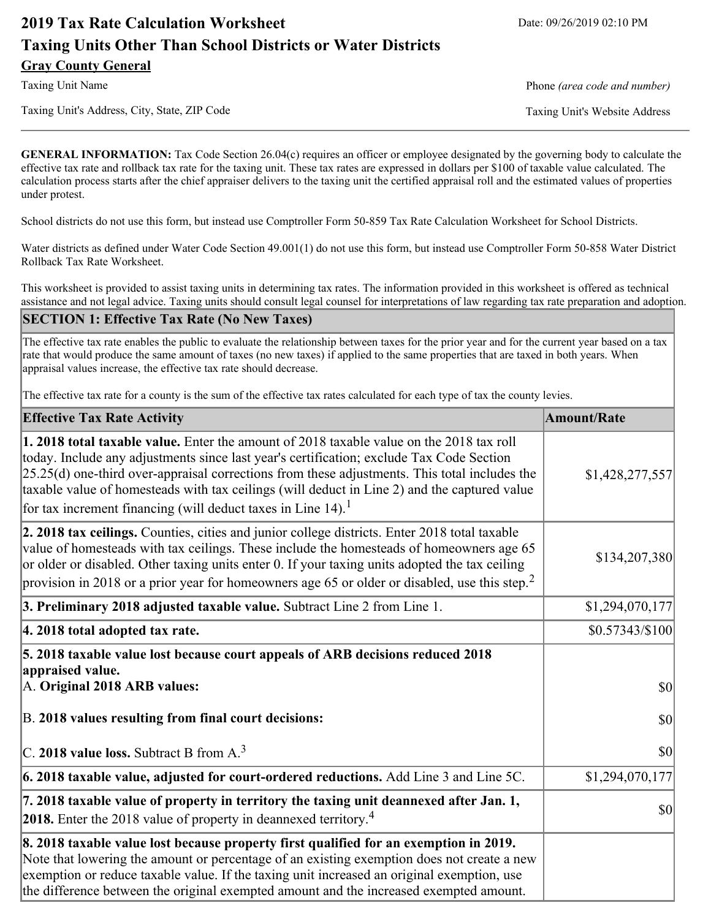# **2019 Tax Rate Calculation Worksheet** Date: 09/26/2019 02:10 PM **Taxing Units Other Than School Districts or Water Districts Gray County General**

Taxing Unit Name **Phone** *(area code and number)* Phone *(area code and number)* 

Taxing Unit's Address, City, State, ZIP Code Taxing Unit's Website Address

**GENERAL INFORMATION:** Tax Code Section 26.04(c) requires an officer or employee designated by the governing body to calculate the effective tax rate and rollback tax rate for the taxing unit. These tax rates are expressed in dollars per \$100 of taxable value calculated. The calculation process starts after the chief appraiser delivers to the taxing unit the certified appraisal roll and the estimated values of properties under protest.

School districts do not use this form, but instead use Comptroller Form 50-859 Tax Rate Calculation Worksheet for School Districts.

Water districts as defined under Water Code Section 49.001(1) do not use this form, but instead use Comptroller Form 50-858 Water District Rollback Tax Rate Worksheet.

This worksheet is provided to assist taxing units in determining tax rates. The information provided in this worksheet is offered as technical assistance and not legal advice. Taxing units should consult legal counsel for interpretations of law regarding tax rate preparation and adoption.

### **SECTION 1: Effective Tax Rate (No New Taxes)**

The effective tax rate enables the public to evaluate the relationship between taxes for the prior year and for the current year based on a tax rate that would produce the same amount of taxes (no new taxes) if applied to the same properties that are taxed in both years. When appraisal values increase, the effective tax rate should decrease.

The effective tax rate for a county is the sum of the effective tax rates calculated for each type of tax the county levies.

| <b>Effective Tax Rate Activity</b>                                                                                                                                                                                                                                                                                                                                                                                                                                      | <b>Amount/Rate</b> |
|-------------------------------------------------------------------------------------------------------------------------------------------------------------------------------------------------------------------------------------------------------------------------------------------------------------------------------------------------------------------------------------------------------------------------------------------------------------------------|--------------------|
| 1. 2018 total taxable value. Enter the amount of 2018 taxable value on the 2018 tax roll<br>today. Include any adjustments since last year's certification; exclude Tax Code Section<br>$[25.25(d)$ one-third over-appraisal corrections from these adjustments. This total includes the<br>taxable value of homesteads with tax ceilings (will deduct in Line 2) and the captured value<br>for tax increment financing (will deduct taxes in Line $14$ ). <sup>1</sup> | \$1,428,277,557    |
| 2. 2018 tax ceilings. Counties, cities and junior college districts. Enter 2018 total taxable<br>value of homesteads with tax ceilings. These include the homesteads of homeowners age 65<br>or older or disabled. Other taxing units enter 0. If your taxing units adopted the tax ceiling<br>provision in 2018 or a prior year for homeowners age 65 or older or disabled, use this step. <sup>2</sup>                                                                | \$134,207,380      |
| 3. Preliminary 2018 adjusted taxable value. Subtract Line 2 from Line 1.                                                                                                                                                                                                                                                                                                                                                                                                | \$1,294,070,177    |
| 4. 2018 total adopted tax rate.                                                                                                                                                                                                                                                                                                                                                                                                                                         | \$0.57343/\$100    |
| 5. 2018 taxable value lost because court appeals of ARB decisions reduced 2018<br>appraised value.<br>A. Original 2018 ARB values:                                                                                                                                                                                                                                                                                                                                      | <b>\$0</b>         |
| B. 2018 values resulting from final court decisions:                                                                                                                                                                                                                                                                                                                                                                                                                    | <b>\$0</b>         |
| $\vert$ C. 2018 value loss. Subtract B from A. <sup>3</sup>                                                                                                                                                                                                                                                                                                                                                                                                             | 30                 |
| [6. 2018 taxable value, adjusted for court-ordered reductions. Add Line 3 and Line 5C.                                                                                                                                                                                                                                                                                                                                                                                  | \$1,294,070,177    |
| 7. 2018 taxable value of property in territory the taxing unit deannexed after Jan. 1,<br><b>2018.</b> Enter the 2018 value of property in deannexed territory. <sup>4</sup>                                                                                                                                                                                                                                                                                            | <b>\$0</b>         |
| 8. 2018 taxable value lost because property first qualified for an exemption in 2019.<br>Note that lowering the amount or percentage of an existing exemption does not create a new<br>exemption or reduce taxable value. If the taxing unit increased an original exemption, use<br>the difference between the original exempted amount and the increased exempted amount.                                                                                             |                    |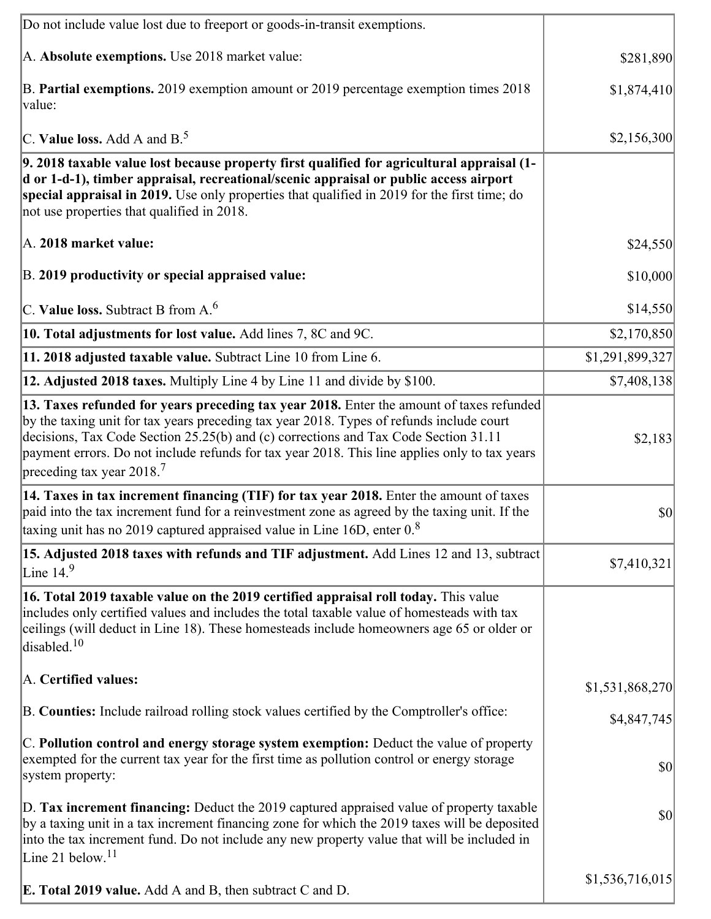| Do not include value lost due to freeport or goods-in-transit exemptions.                                                                                                                                                                                                                                                                                                                                              |                 |
|------------------------------------------------------------------------------------------------------------------------------------------------------------------------------------------------------------------------------------------------------------------------------------------------------------------------------------------------------------------------------------------------------------------------|-----------------|
| A. Absolute exemptions. Use 2018 market value:                                                                                                                                                                                                                                                                                                                                                                         | \$281,890       |
| B. Partial exemptions. 2019 exemption amount or 2019 percentage exemption times 2018<br>value:                                                                                                                                                                                                                                                                                                                         | \$1,874,410     |
| C. Value loss. Add A and $B^5$ .                                                                                                                                                                                                                                                                                                                                                                                       | \$2,156,300     |
| 9. 2018 taxable value lost because property first qualified for agricultural appraisal (1-<br>d or 1-d-1), timber appraisal, recreational/scenic appraisal or public access airport<br>special appraisal in 2019. Use only properties that qualified in 2019 for the first time; do<br>not use properties that qualified in 2018.                                                                                      |                 |
| A. 2018 market value:                                                                                                                                                                                                                                                                                                                                                                                                  | \$24,550        |
| B. 2019 productivity or special appraised value:                                                                                                                                                                                                                                                                                                                                                                       | \$10,000        |
| C. Value loss. Subtract B from $A6$                                                                                                                                                                                                                                                                                                                                                                                    | \$14,550        |
| 10. Total adjustments for lost value. Add lines 7, 8C and 9C.                                                                                                                                                                                                                                                                                                                                                          | \$2,170,850     |
| 11. 2018 adjusted taxable value. Subtract Line 10 from Line 6.                                                                                                                                                                                                                                                                                                                                                         | \$1,291,899,327 |
| 12. Adjusted 2018 taxes. Multiply Line 4 by Line 11 and divide by \$100.                                                                                                                                                                                                                                                                                                                                               | \$7,408,138     |
| 13. Taxes refunded for years preceding tax year 2018. Enter the amount of taxes refunded<br>by the taxing unit for tax years preceding tax year 2018. Types of refunds include court<br>decisions, Tax Code Section 25.25(b) and (c) corrections and Tax Code Section 31.11<br>payment errors. Do not include refunds for tax year 2018. This line applies only to tax years<br>preceding tax year $2018$ <sup>7</sup> | \$2,183         |
| 14. Taxes in tax increment financing (TIF) for tax year 2018. Enter the amount of taxes<br>paid into the tax increment fund for a reinvestment zone as agreed by the taxing unit. If the<br>taxing unit has no 2019 captured appraised value in Line 16D, enter $08$                                                                                                                                                   | $ 10\rangle$    |
| 15. Adjusted 2018 taxes with refunds and TIF adjustment. Add Lines 12 and 13, subtract<br>Line $149$                                                                                                                                                                                                                                                                                                                   | \$7,410,321     |
| 16. Total 2019 taxable value on the 2019 certified appraisal roll today. This value<br>includes only certified values and includes the total taxable value of homesteads with tax<br>ceilings (will deduct in Line 18). These homesteads include homeowners age 65 or older or<br>disabled. $10$                                                                                                                       |                 |
| A. Certified values:                                                                                                                                                                                                                                                                                                                                                                                                   | \$1,531,868,270 |
| B. Counties: Include railroad rolling stock values certified by the Comptroller's office:                                                                                                                                                                                                                                                                                                                              | \$4,847,745     |
| C. Pollution control and energy storage system exemption: Deduct the value of property<br>exempted for the current tax year for the first time as pollution control or energy storage<br>system property:                                                                                                                                                                                                              | \$0             |
| D. Tax increment financing: Deduct the 2019 captured appraised value of property taxable<br>by a taxing unit in a tax increment financing zone for which the 2019 taxes will be deposited<br>into the tax increment fund. Do not include any new property value that will be included in<br>Line 21 below. <sup>11</sup>                                                                                               | \$0             |
| <b>E. Total 2019 value.</b> Add A and B, then subtract C and D.                                                                                                                                                                                                                                                                                                                                                        | \$1,536,716,015 |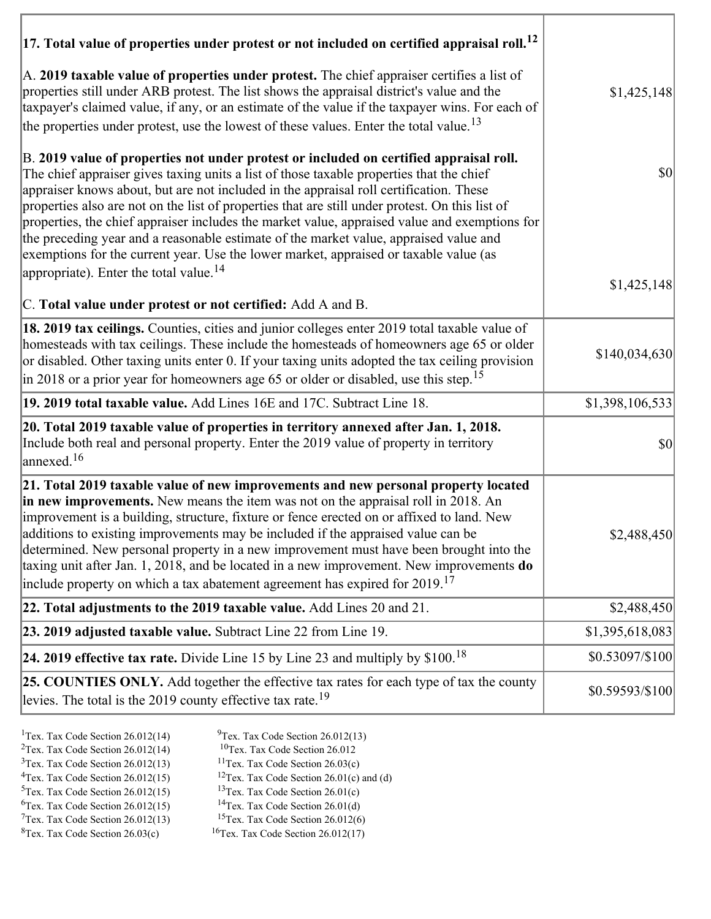| $ 17$ . Total value of properties under protest or not included on certified appraisal roll. <sup>12</sup>                                                                                                                                                                                                                                                                                                                                                                                                                                                                                                                                                         |                                     |
|--------------------------------------------------------------------------------------------------------------------------------------------------------------------------------------------------------------------------------------------------------------------------------------------------------------------------------------------------------------------------------------------------------------------------------------------------------------------------------------------------------------------------------------------------------------------------------------------------------------------------------------------------------------------|-------------------------------------|
| A. 2019 taxable value of properties under protest. The chief appraiser certifies a list of<br>properties still under ARB protest. The list shows the appraisal district's value and the<br>taxpayer's claimed value, if any, or an estimate of the value if the taxpayer wins. For each of<br>the properties under protest, use the lowest of these values. Enter the total value. <sup>13</sup>                                                                                                                                                                                                                                                                   | \$1,425,148                         |
| B. 2019 value of properties not under protest or included on certified appraisal roll.<br>The chief appraiser gives taxing units a list of those taxable properties that the chief<br>appraiser knows about, but are not included in the appraisal roll certification. These<br>properties also are not on the list of properties that are still under protest. On this list of<br>properties, the chief appraiser includes the market value, appraised value and exemptions for<br>the preceding year and a reasonable estimate of the market value, appraised value and<br>exemptions for the current year. Use the lower market, appraised or taxable value (as | $\vert \mathbf{S} \mathbf{0} \vert$ |
| appropriate). Enter the total value. <sup>14</sup><br>C. Total value under protest or not certified: Add A and B.                                                                                                                                                                                                                                                                                                                                                                                                                                                                                                                                                  | \$1,425,148                         |
| 18. 2019 tax ceilings. Counties, cities and junior colleges enter 2019 total taxable value of<br>homesteads with tax ceilings. These include the homesteads of homeowners age 65 or older<br>or disabled. Other taxing units enter 0. If your taxing units adopted the tax ceiling provision<br>in 2018 or a prior year for homeowners age 65 or older or disabled, use this step. <sup>15</sup>                                                                                                                                                                                                                                                                   | \$140,034,630                       |
| 19. 2019 total taxable value. Add Lines 16E and 17C. Subtract Line 18.                                                                                                                                                                                                                                                                                                                                                                                                                                                                                                                                                                                             | \$1,398,106,533                     |
| 20. Total 2019 taxable value of properties in territory annexed after Jan. 1, 2018.<br>Include both real and personal property. Enter the 2019 value of property in territory<br>$\alpha$ annexed. <sup>16</sup>                                                                                                                                                                                                                                                                                                                                                                                                                                                   | $ 10\rangle$                        |
| 21. Total 2019 taxable value of new improvements and new personal property located<br>in new improvements. New means the item was not on the appraisal roll in 2018. An<br>improvement is a building, structure, fixture or fence erected on or affixed to land. New<br>additions to existing improvements may be included if the appraised value can be<br>determined. New personal property in a new improvement must have been brought into the<br>taxing unit after Jan. 1, 2018, and be located in a new improvement. New improvements do<br>include property on which a tax abatement agreement has expired for $2019$ . <sup>17</sup>                       | \$2,488,450                         |
| 22. Total adjustments to the 2019 taxable value. Add Lines 20 and 21.                                                                                                                                                                                                                                                                                                                                                                                                                                                                                                                                                                                              | \$2,488,450                         |
| 23. 2019 adjusted taxable value. Subtract Line 22 from Line 19.                                                                                                                                                                                                                                                                                                                                                                                                                                                                                                                                                                                                    | \$1,395,618,083                     |
| 24. 2019 effective tax rate. Divide Line 15 by Line 23 and multiply by $$100$ . <sup>18</sup>                                                                                                                                                                                                                                                                                                                                                                                                                                                                                                                                                                      | \$0.53097/\$100                     |
| 25. COUNTIES ONLY. Add together the effective tax rates for each type of tax the county<br>levies. The total is the 2019 county effective tax rate. <sup>19</sup>                                                                                                                                                                                                                                                                                                                                                                                                                                                                                                  | \$0.59593/\$100                     |

- 
- <sup>1</sup>Tex. Tax Code Section 26.012(14) <sup>9</sup>Tex. Tax Code Section 26.012(13) <sup>9</sup>Tex. Tax Code Section 26.012
- <sup>2</sup>Tex. Tax Code Section 26.012(14) <sup>10</sup>Tex. Tax Code Section 26.012<br><sup>3</sup>Tex. Tax Code Section 26.03(c) <sup>11</sup>Tex. Tax Code Section 26.03(c)
- ${}^{3}$ Tex. Tax Code Section 26.012(13)<br> ${}^{4}$ Tex. Tax Code Section 26.012(15)
- -
- <sup>12</sup>Tex. Tax Code Section 26.01(c) and (d) <sup>13</sup>Tex. Tax Code Section 26.01(c) <sup>5</sup>Tex. Tax Code Section 26.012(15) <sup>13</sup>Tex. Tax Code Section 26.01(c)<br><sup>6</sup>Tex. Tax Code Section 26.012(15) <sup>14</sup>Tex. Tax Code Section 26.01(d)
- <sup>6</sup>Tex. Tax Code Section 26.012(15) <sup>14</sup>Tex. Tax Code Section 26.01(d)<br><sup>7</sup>Tex. Tax Code Section 26.012(13) <sup>15</sup>Tex. Tax Code Section 26.012(6)
- $7$ Tex. Tax Code Section 26.012(13)<br><sup>8</sup>Tex. Tax Code Section 26.03(c)
- $16$ Tex. Tax Code Section 26.012(17)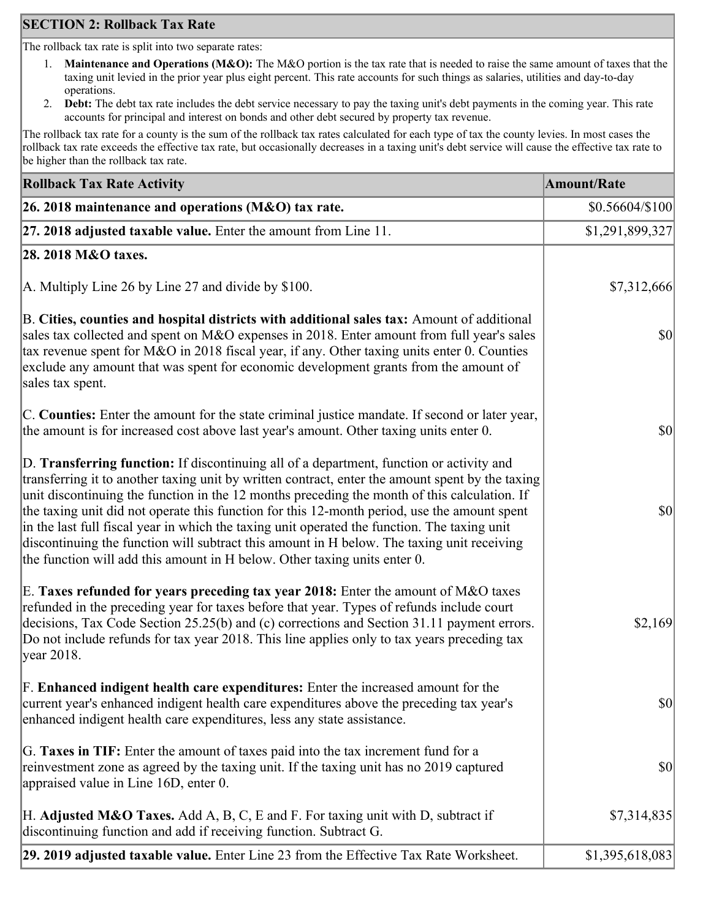## **SECTION 2: Rollback Tax Rate**

The rollback tax rate is split into two separate rates:

- 1. **Maintenance and Operations (M&O):** The M&O portion is the tax rate that is needed to raise the same amount of taxes that the taxing unit levied in the prior year plus eight percent. This rate accounts for such things as salaries, utilities and day-to-day operations.
- 2. **Debt:** The debt tax rate includes the debt service necessary to pay the taxing unit's debt payments in the coming year. This rate accounts for principal and interest on bonds and other debt secured by property tax revenue.

The rollback tax rate for a county is the sum of the rollback tax rates calculated for each type of tax the county levies. In most cases the rollback tax rate exceeds the effective tax rate, but occasionally decreases in a taxing unit's debt service will cause the effective tax rate to be higher than the rollback tax rate.

| <b>Rollback Tax Rate Activity</b>                                                                                                                                                                                                                                                                                                                                                                                                                                                                                                                                                                                                                                       | <b>Amount/Rate</b>                  |
|-------------------------------------------------------------------------------------------------------------------------------------------------------------------------------------------------------------------------------------------------------------------------------------------------------------------------------------------------------------------------------------------------------------------------------------------------------------------------------------------------------------------------------------------------------------------------------------------------------------------------------------------------------------------------|-------------------------------------|
| 26. 2018 maintenance and operations ( $M&O$ ) tax rate.                                                                                                                                                                                                                                                                                                                                                                                                                                                                                                                                                                                                                 | $$0.56604/\$100$                    |
| 27. 2018 adjusted taxable value. Enter the amount from Line 11.                                                                                                                                                                                                                                                                                                                                                                                                                                                                                                                                                                                                         | \$1,291,899,327                     |
| 28. 2018 M&O taxes.                                                                                                                                                                                                                                                                                                                                                                                                                                                                                                                                                                                                                                                     |                                     |
| A. Multiply Line 26 by Line 27 and divide by \$100.                                                                                                                                                                                                                                                                                                                                                                                                                                                                                                                                                                                                                     | \$7,312,666                         |
| B. Cities, counties and hospital districts with additional sales tax: Amount of additional<br>sales tax collected and spent on M&O expenses in 2018. Enter amount from full year's sales<br>tax revenue spent for M&O in 2018 fiscal year, if any. Other taxing units enter 0. Counties<br>exclude any amount that was spent for economic development grants from the amount of<br>sales tax spent.                                                                                                                                                                                                                                                                     | $\vert \mathbf{S} \mathbf{O} \vert$ |
| C. Counties: Enter the amount for the state criminal justice mandate. If second or later year,<br>the amount is for increased cost above last year's amount. Other taxing units enter 0.                                                                                                                                                                                                                                                                                                                                                                                                                                                                                | $ 10\rangle$                        |
| D. Transferring function: If discontinuing all of a department, function or activity and<br>transferring it to another taxing unit by written contract, enter the amount spent by the taxing<br>unit discontinuing the function in the 12 months preceding the month of this calculation. If<br>the taxing unit did not operate this function for this 12-month period, use the amount spent<br>in the last full fiscal year in which the taxing unit operated the function. The taxing unit<br>discontinuing the function will subtract this amount in H below. The taxing unit receiving<br>the function will add this amount in H below. Other taxing units enter 0. | $ 10\rangle$                        |
| E. Taxes refunded for years preceding tax year 2018: Enter the amount of M&O taxes<br>refunded in the preceding year for taxes before that year. Types of refunds include court<br>decisions, Tax Code Section 25.25(b) and (c) corrections and Section 31.11 payment errors.<br>Do not include refunds for tax year 2018. This line applies only to tax years preceding tax<br> year 2018.                                                                                                                                                                                                                                                                             | \$2,169                             |
| F. Enhanced indigent health care expenditures: Enter the increased amount for the<br>current year's enhanced indigent health care expenditures above the preceding tax year's<br>enhanced indigent health care expenditures, less any state assistance.                                                                                                                                                                                                                                                                                                                                                                                                                 | $\vert \mathbf{S} \mathbf{0} \vert$ |
| G. Taxes in TIF: Enter the amount of taxes paid into the tax increment fund for a<br>reinvestment zone as agreed by the taxing unit. If the taxing unit has no 2019 captured<br>appraised value in Line 16D, enter 0.                                                                                                                                                                                                                                                                                                                                                                                                                                                   | $ 10\rangle$                        |
| H. Adjusted M&O Taxes. Add A, B, C, E and F. For taxing unit with D, subtract if<br>discontinuing function and add if receiving function. Subtract G.                                                                                                                                                                                                                                                                                                                                                                                                                                                                                                                   | \$7,314,835                         |
| 29. 2019 adjusted taxable value. Enter Line 23 from the Effective Tax Rate Worksheet.                                                                                                                                                                                                                                                                                                                                                                                                                                                                                                                                                                                   | \$1,395,618,083                     |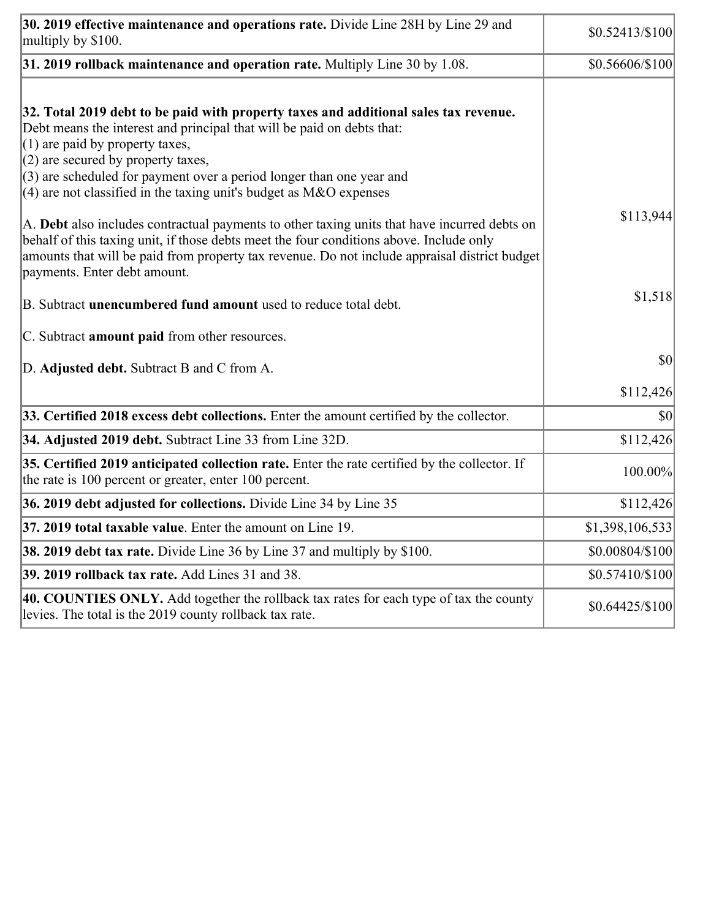| 30. 2019 effective maintenance and operations rate. Divide Line 28H by Line 29 and<br>multiply by \$100.                                                                                                                                                                                                                                                                                      | \$0.52413/\$100 |
|-----------------------------------------------------------------------------------------------------------------------------------------------------------------------------------------------------------------------------------------------------------------------------------------------------------------------------------------------------------------------------------------------|-----------------|
| $31.2019$ rollback maintenance and operation rate. Multiply Line 30 by 1.08.                                                                                                                                                                                                                                                                                                                  | \$0.56606/\$100 |
| 32. Total 2019 debt to be paid with property taxes and additional sales tax revenue.<br>Debt means the interest and principal that will be paid on debts that:<br>$(1)$ are paid by property taxes,<br>$(2)$ are secured by property taxes,<br>$(3)$ are scheduled for payment over a period longer than one year and<br>(4) are not classified in the taxing unit's budget as $M&O$ expenses |                 |
| A. Debt also includes contractual payments to other taxing units that have incurred debts on<br>behalf of this taxing unit, if those debts meet the four conditions above. Include only<br>amounts that will be paid from property tax revenue. Do not include appraisal district budget<br>payments. Enter debt amount.                                                                      | \$113,944       |
| B. Subtract unencumbered fund amount used to reduce total debt.                                                                                                                                                                                                                                                                                                                               | \$1,518         |
| C. Subtract <b>amount paid</b> from other resources.                                                                                                                                                                                                                                                                                                                                          |                 |
| D. Adjusted debt. Subtract B and C from A.                                                                                                                                                                                                                                                                                                                                                    | \$0             |
|                                                                                                                                                                                                                                                                                                                                                                                               | \$112,426       |
| 33. Certified 2018 excess debt collections. Enter the amount certified by the collector.                                                                                                                                                                                                                                                                                                      | \$0             |
| 34. Adjusted 2019 debt. Subtract Line 33 from Line 32D.                                                                                                                                                                                                                                                                                                                                       | \$112,426       |
| 35. Certified 2019 anticipated collection rate. Enter the rate certified by the collector. If<br>the rate is 100 percent or greater, enter 100 percent.                                                                                                                                                                                                                                       | 100.00%         |
| 36. 2019 debt adjusted for collections. Divide Line 34 by Line 35                                                                                                                                                                                                                                                                                                                             | \$112,426       |
| 37. 2019 total taxable value. Enter the amount on Line 19.                                                                                                                                                                                                                                                                                                                                    | \$1,398,106,533 |
| <b>38. 2019 debt tax rate.</b> Divide Line 36 by Line 37 and multiply by \$100.                                                                                                                                                                                                                                                                                                               | \$0.00804/\$100 |
| 39. 2019 rollback tax rate. Add Lines 31 and 38.                                                                                                                                                                                                                                                                                                                                              | \$0.57410/\$100 |
| 40. COUNTIES ONLY. Add together the rollback tax rates for each type of tax the county<br>levies. The total is the 2019 county rollback tax rate.                                                                                                                                                                                                                                             | \$0.64425/\$100 |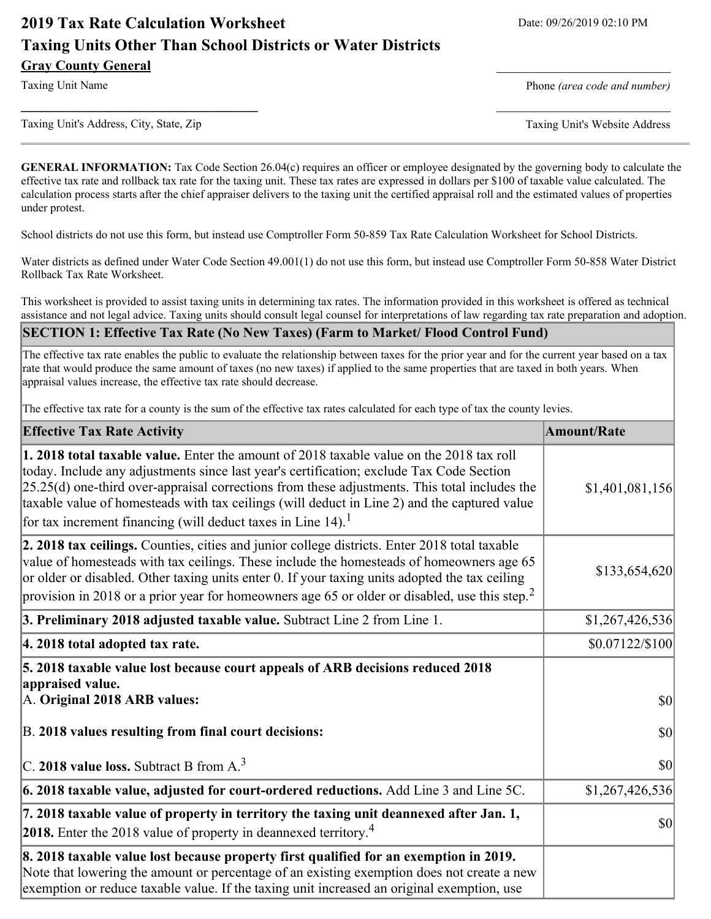# **2019 Tax Rate Calculation Worksheet** Date: 09/26/2019 02:10 PM **Taxing Units Other Than School Districts or Water Districts Gray County General** \_\_\_\_\_\_\_\_\_\_\_\_\_\_\_\_\_\_\_\_\_\_\_\_\_

Taxing Unit Name **Phone** *(area code and number)* Phone *(area code and number)* 

Taxing Unit's Address, City, State, Zip Taxing Unit's Website Address

**GENERAL INFORMATION:** Tax Code Section 26.04(c) requires an officer or employee designated by the governing body to calculate the effective tax rate and rollback tax rate for the taxing unit. These tax rates are expressed in dollars per \$100 of taxable value calculated. The calculation process starts after the chief appraiser delivers to the taxing unit the certified appraisal roll and the estimated values of properties under protest.

**\_\_\_\_\_\_\_\_\_\_\_\_\_\_\_\_\_\_\_\_\_\_\_\_\_\_\_\_\_\_\_\_\_\_** \_\_\_\_\_\_\_\_\_\_\_\_\_\_\_\_\_\_\_\_\_\_\_\_\_

School districts do not use this form, but instead use Comptroller Form 50-859 Tax Rate Calculation Worksheet for School Districts.

Water districts as defined under Water Code Section 49.001(1) do not use this form, but instead use Comptroller Form 50-858 Water District Rollback Tax Rate Worksheet.

This worksheet is provided to assist taxing units in determining tax rates. The information provided in this worksheet is offered as technical assistance and not legal advice. Taxing units should consult legal counsel for interpretations of law regarding tax rate preparation and adoption.

#### **SECTION 1: Effective Tax Rate (No New Taxes) (Farm to Market/ Flood Control Fund)**

The effective tax rate enables the public to evaluate the relationship between taxes for the prior year and for the current year based on a tax rate that would produce the same amount of taxes (no new taxes) if applied to the same properties that are taxed in both years. When appraisal values increase, the effective tax rate should decrease.

The effective tax rate for a county is the sum of the effective tax rates calculated for each type of tax the county levies.

| <b>Effective Tax Rate Activity</b>                                                                                                                                                                                                                                                                                                                                                                                                                                             | <b>Amount/Rate</b> |
|--------------------------------------------------------------------------------------------------------------------------------------------------------------------------------------------------------------------------------------------------------------------------------------------------------------------------------------------------------------------------------------------------------------------------------------------------------------------------------|--------------------|
| <b>1. 2018 total taxable value.</b> Enter the amount of 2018 taxable value on the 2018 tax roll<br>today. Include any adjustments since last year's certification; exclude Tax Code Section<br>$[25.25(d)$ one-third over-appraisal corrections from these adjustments. This total includes the<br>taxable value of homesteads with tax ceilings (will deduct in Line 2) and the captured value<br>for tax increment financing (will deduct taxes in Line $14$ ). <sup>1</sup> | \$1,401,081,156    |
| 2. 2018 tax ceilings. Counties, cities and junior college districts. Enter 2018 total taxable<br>value of homesteads with tax ceilings. These include the homesteads of homeowners age 65<br>or older or disabled. Other taxing units enter 0. If your taxing units adopted the tax ceiling<br>provision in 2018 or a prior year for homeowners age 65 or older or disabled, use this step. <sup>2</sup>                                                                       | \$133,654,620      |
| 3. Preliminary 2018 adjusted taxable value. Subtract Line 2 from Line 1.                                                                                                                                                                                                                                                                                                                                                                                                       | \$1,267,426,536    |
| 4. 2018 total adopted tax rate.                                                                                                                                                                                                                                                                                                                                                                                                                                                | \$0.07122/\$100    |
| 5. 2018 taxable value lost because court appeals of ARB decisions reduced 2018<br>appraised value.                                                                                                                                                                                                                                                                                                                                                                             |                    |
| A. Original 2018 ARB values:                                                                                                                                                                                                                                                                                                                                                                                                                                                   | $ 10\rangle$       |
| B. 2018 values resulting from final court decisions:                                                                                                                                                                                                                                                                                                                                                                                                                           | $ 10\rangle$       |
| C. 2018 value loss. Subtract B from $A3$                                                                                                                                                                                                                                                                                                                                                                                                                                       | $ 10\rangle$       |
| $\vert$ 6. 2018 taxable value, adjusted for court-ordered reductions. Add Line 3 and Line 5C.                                                                                                                                                                                                                                                                                                                                                                                  | \$1,267,426,536    |
| 7. 2018 taxable value of property in territory the taxing unit deannexed after Jan. 1,<br><b>2018.</b> Enter the 2018 value of property in deannexed territory. <sup>4</sup>                                                                                                                                                                                                                                                                                                   | $ 10\rangle$       |
| 8. 2018 taxable value lost because property first qualified for an exemption in 2019.<br>Note that lowering the amount or percentage of an existing exemption does not create a new<br>exemption or reduce taxable value. If the taxing unit increased an original exemption, use                                                                                                                                                                                              |                    |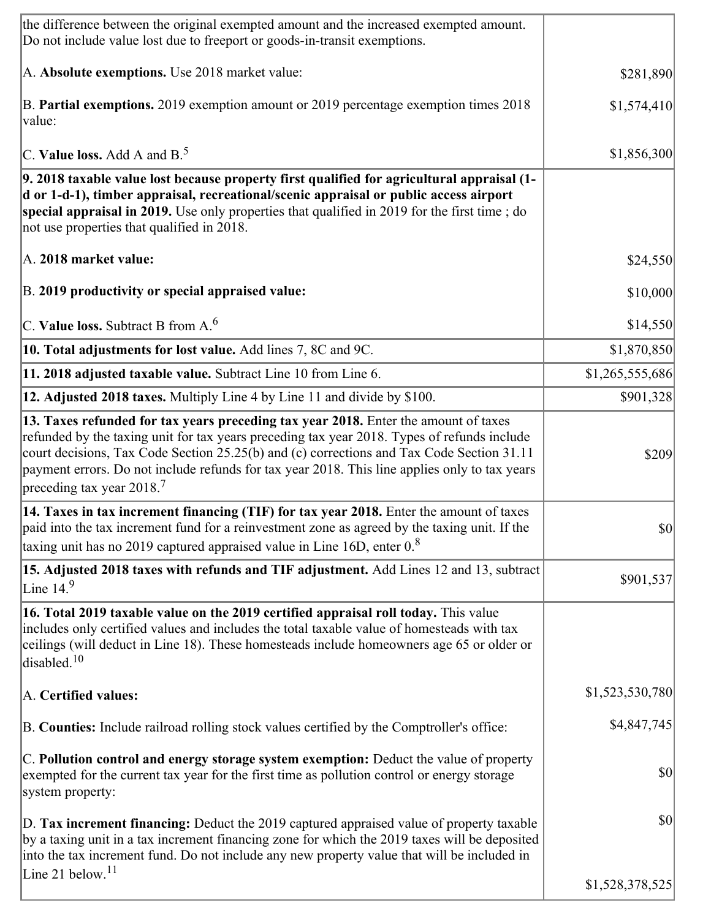| the difference between the original exempted amount and the increased exempted amount.<br>Do not include value lost due to freeport or goods-in-transit exemptions.                                                                                                                                                                                                                                                        |                 |
|----------------------------------------------------------------------------------------------------------------------------------------------------------------------------------------------------------------------------------------------------------------------------------------------------------------------------------------------------------------------------------------------------------------------------|-----------------|
| A. Absolute exemptions. Use 2018 market value:                                                                                                                                                                                                                                                                                                                                                                             | \$281,890       |
| B. Partial exemptions. 2019 exemption amount or 2019 percentage exemption times 2018<br>value:                                                                                                                                                                                                                                                                                                                             | \$1,574,410     |
| C. Value loss. Add A and $B^5$                                                                                                                                                                                                                                                                                                                                                                                             | \$1,856,300     |
| 9. 2018 taxable value lost because property first qualified for agricultural appraisal (1-<br>d or 1-d-1), timber appraisal, recreational/scenic appraisal or public access airport<br>special appraisal in 2019. Use only properties that qualified in 2019 for the first time; do<br>not use properties that qualified in 2018.                                                                                          |                 |
| A. 2018 market value:                                                                                                                                                                                                                                                                                                                                                                                                      | \$24,550        |
| B. 2019 productivity or special appraised value:                                                                                                                                                                                                                                                                                                                                                                           | \$10,000        |
| C. Value loss. Subtract B from $A6$                                                                                                                                                                                                                                                                                                                                                                                        | \$14,550        |
| 10. Total adjustments for lost value. Add lines 7, 8C and 9C.                                                                                                                                                                                                                                                                                                                                                              | \$1,870,850     |
| 11. 2018 adjusted taxable value. Subtract Line 10 from Line 6.                                                                                                                                                                                                                                                                                                                                                             | \$1,265,555,686 |
| 12. Adjusted 2018 taxes. Multiply Line 4 by Line 11 and divide by \$100.                                                                                                                                                                                                                                                                                                                                                   | \$901,328       |
| 13. Taxes refunded for tax years preceding tax year 2018. Enter the amount of taxes<br>refunded by the taxing unit for tax years preceding tax year 2018. Types of refunds include<br>court decisions, Tax Code Section 25.25(b) and (c) corrections and Tax Code Section 31.11<br>payment errors. Do not include refunds for tax year 2018. This line applies only to tax years<br>preceding tax year $2018$ <sup>7</sup> | \$209           |
| 14. Taxes in tax increment financing (TIF) for tax year 2018. Enter the amount of taxes<br>paid into the tax increment fund for a reinvestment zone as agreed by the taxing unit. If the<br>taxing unit has no 2019 captured appraised value in Line 16D, enter $0.8$                                                                                                                                                      | $ 10\rangle$    |
| 15. Adjusted 2018 taxes with refunds and TIF adjustment. Add Lines 12 and 13, subtract<br>Line $14.9$                                                                                                                                                                                                                                                                                                                      | \$901,537       |
| 16. Total 2019 taxable value on the 2019 certified appraisal roll today. This value<br>includes only certified values and includes the total taxable value of homesteads with tax<br>ceilings (will deduct in Line 18). These homesteads include homeowners age 65 or older or<br>disabled. <sup>10</sup>                                                                                                                  |                 |
| A. Certified values:                                                                                                                                                                                                                                                                                                                                                                                                       | \$1,523,530,780 |
| B. Counties: Include railroad rolling stock values certified by the Comptroller's office:                                                                                                                                                                                                                                                                                                                                  | \$4,847,745     |
| C. Pollution control and energy storage system exemption: Deduct the value of property<br>exempted for the current tax year for the first time as pollution control or energy storage<br>system property:                                                                                                                                                                                                                  | \$0             |
| D. Tax increment financing: Deduct the 2019 captured appraised value of property taxable<br>by a taxing unit in a tax increment financing zone for which the 2019 taxes will be deposited<br>into the tax increment fund. Do not include any new property value that will be included in                                                                                                                                   | $ 10\rangle$    |
| Line 21 below. <sup>11</sup>                                                                                                                                                                                                                                                                                                                                                                                               | \$1,528,378,525 |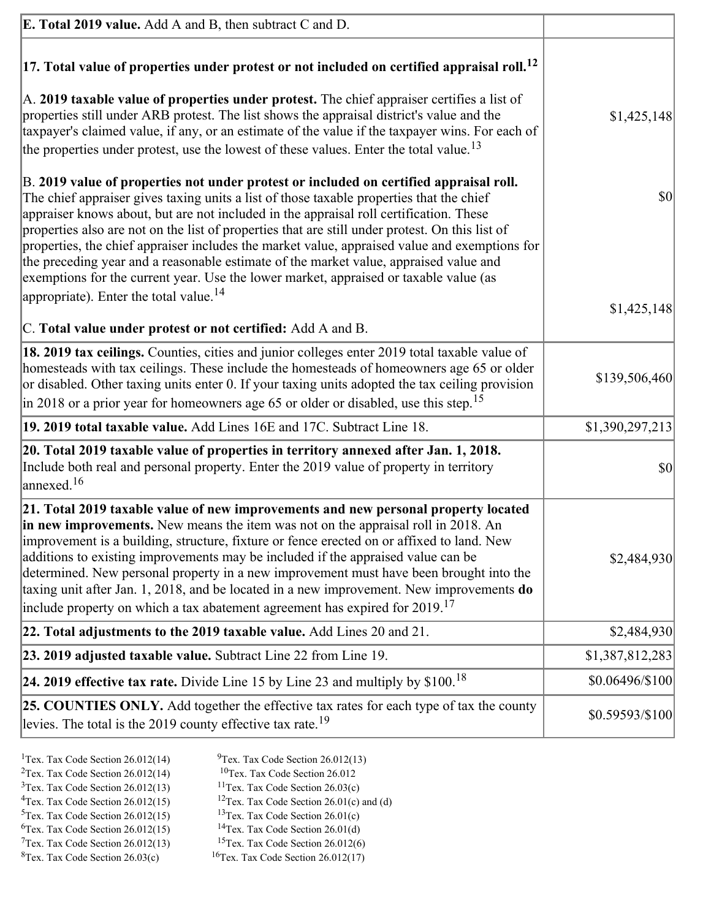| <b>E. Total 2019 value.</b> Add A and B, then subtract C and D.                                                                                                                                                                                                                                                                                                                                                                                                                                                                                                                                                                                                    |                 |
|--------------------------------------------------------------------------------------------------------------------------------------------------------------------------------------------------------------------------------------------------------------------------------------------------------------------------------------------------------------------------------------------------------------------------------------------------------------------------------------------------------------------------------------------------------------------------------------------------------------------------------------------------------------------|-----------------|
| $ 17$ . Total value of properties under protest or not included on certified appraisal roll. <sup>12</sup>                                                                                                                                                                                                                                                                                                                                                                                                                                                                                                                                                         |                 |
| A. 2019 taxable value of properties under protest. The chief appraiser certifies a list of<br>properties still under ARB protest. The list shows the appraisal district's value and the<br>taxpayer's claimed value, if any, or an estimate of the value if the taxpayer wins. For each of<br>the properties under protest, use the lowest of these values. Enter the total value. <sup>13</sup>                                                                                                                                                                                                                                                                   | \$1,425,148     |
| B. 2019 value of properties not under protest or included on certified appraisal roll.<br>The chief appraiser gives taxing units a list of those taxable properties that the chief<br>appraiser knows about, but are not included in the appraisal roll certification. These<br>properties also are not on the list of properties that are still under protest. On this list of<br>properties, the chief appraiser includes the market value, appraised value and exemptions for<br>the preceding year and a reasonable estimate of the market value, appraised value and<br>exemptions for the current year. Use the lower market, appraised or taxable value (as | $ 10\rangle$    |
| appropriate). Enter the total value. <sup>14</sup><br>C. Total value under protest or not certified: Add A and B.                                                                                                                                                                                                                                                                                                                                                                                                                                                                                                                                                  | \$1,425,148     |
| 18. 2019 tax ceilings. Counties, cities and junior colleges enter 2019 total taxable value of<br>homesteads with tax ceilings. These include the homesteads of homeowners age 65 or older<br>or disabled. Other taxing units enter 0. If your taxing units adopted the tax ceiling provision<br>$\vert$ in 2018 or a prior year for homeowners age 65 or older or disabled, use this step. <sup>15</sup>                                                                                                                                                                                                                                                           | \$139,506,460   |
| 19. 2019 total taxable value. Add Lines 16E and 17C. Subtract Line 18.                                                                                                                                                                                                                                                                                                                                                                                                                                                                                                                                                                                             | \$1,390,297,213 |
| 20. Total 2019 taxable value of properties in territory annexed after Jan. 1, 2018.<br>Include both real and personal property. Enter the 2019 value of property in territory<br>$\text{lanned}$ . <sup>16</sup>                                                                                                                                                                                                                                                                                                                                                                                                                                                   | \$0             |
| 21. Total 2019 taxable value of new improvements and new personal property located<br>in new improvements. New means the item was not on the appraisal roll in 2018. An<br>improvement is a building, structure, fixture or fence erected on or affixed to land. New<br>additions to existing improvements may be included if the appraised value can be<br>determined. New personal property in a new improvement must have been brought into the<br>taxing unit after Jan. 1, 2018, and be located in a new improvement. New improvements do<br>include property on which a tax abatement agreement has expired for $2019$ <sup>17</sup>                         | \$2,484,930     |
| 22. Total adjustments to the 2019 taxable value. Add Lines 20 and 21.                                                                                                                                                                                                                                                                                                                                                                                                                                                                                                                                                                                              | \$2,484,930     |
| 23. 2019 adjusted taxable value. Subtract Line 22 from Line 19.                                                                                                                                                                                                                                                                                                                                                                                                                                                                                                                                                                                                    | \$1,387,812,283 |
| <b>24. 2019 effective tax rate.</b> Divide Line 15 by Line 23 and multiply by $$100$ . <sup>18</sup>                                                                                                                                                                                                                                                                                                                                                                                                                                                                                                                                                               | \$0.06496/\$100 |
| <b>25. COUNTIES ONLY.</b> Add together the effective tax rates for each type of tax the county<br>levies. The total is the 2019 county effective tax rate. <sup>19</sup>                                                                                                                                                                                                                                                                                                                                                                                                                                                                                           | \$0.59593/\$100 |
|                                                                                                                                                                                                                                                                                                                                                                                                                                                                                                                                                                                                                                                                    |                 |

- <sup>2</sup>Tex. Tax Code Section 26.012(14)<br><sup>3</sup>Tex. Tax Code Section 26.012(13)
- <sup>1</sup>Tex. Tax Code Section 26.012(14) <sup>9</sup>Tex. Tax Code Section 26.012(13) <sup>9</sup>Tex. Tax Code Section 26.012
	-
- <sup>3</sup>Tex. Tax Code Section 26.012(13) <sup>11</sup>Tex. Tax Code Section 26.03(c) <sup>4</sup>Tex. Tax Code Section 26.01(c)
- <sup>4</sup>Tex. Tax Code Section 26.012(15) <sup>12</sup>Tex. Tax Code Section 26.01(c) and (d)<br><sup>5</sup>Tex. Tax Code Section 26.012(15) <sup>13</sup>Tex. Tax Code Section 26.01(c)
	- <sup>13</sup>Tex. Tax Code Section 26.01(c) <sup>14</sup>Tex. Tax Code Section 26.01(d)
- <sup>6</sup>Tex. Tax Code Section 26.012(15)<br><sup>7</sup>Tex. Tax Code Section 26.012(13)
- 
- 
- 
- <sup>7</sup>Tex. Tax Code Section 26.012(13) <sup>15</sup>Tex. Tax Code Section 26.012(6)<br><sup>8</sup>Tex. Tax Code Section 26.03(c) <sup>16</sup>Tex. Tax Code Section 26.012(17)  $16$ Tex. Tax Code Section 26.012(17)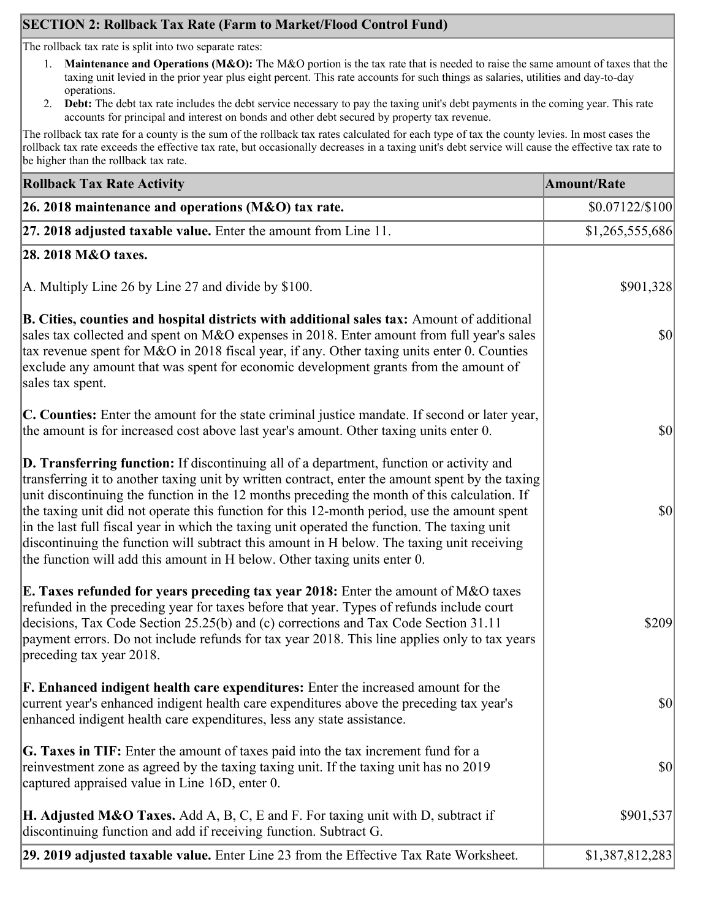# **SECTION 2: Rollback Tax Rate (Farm to Market/Flood Control Fund)**

The rollback tax rate is split into two separate rates:

- 1. **Maintenance and Operations (M&O):** The M&O portion is the tax rate that is needed to raise the same amount of taxes that the taxing unit levied in the prior year plus eight percent. This rate accounts for such things as salaries, utilities and day-to-day operations.
- 2. **Debt:** The debt tax rate includes the debt service necessary to pay the taxing unit's debt payments in the coming year. This rate accounts for principal and interest on bonds and other debt secured by property tax revenue.

The rollback tax rate for a county is the sum of the rollback tax rates calculated for each type of tax the county levies. In most cases the rollback tax rate exceeds the effective tax rate, but occasionally decreases in a taxing unit's debt service will cause the effective tax rate to be higher than the rollback tax rate.

| <b>Rollback Tax Rate Activity</b>                                                                                                                                                                                                                                                                                                                                                                                                                                                                                                                                                                                                                                       | <b>Amount/Rate</b>                  |
|-------------------------------------------------------------------------------------------------------------------------------------------------------------------------------------------------------------------------------------------------------------------------------------------------------------------------------------------------------------------------------------------------------------------------------------------------------------------------------------------------------------------------------------------------------------------------------------------------------------------------------------------------------------------------|-------------------------------------|
| 26. 2018 maintenance and operations ( $M&O$ ) tax rate.                                                                                                                                                                                                                                                                                                                                                                                                                                                                                                                                                                                                                 | $$0.07122/\$100$                    |
| 27. 2018 adjusted taxable value. Enter the amount from Line 11.                                                                                                                                                                                                                                                                                                                                                                                                                                                                                                                                                                                                         | \$1,265,555,686                     |
| 28. 2018 M&O taxes.                                                                                                                                                                                                                                                                                                                                                                                                                                                                                                                                                                                                                                                     |                                     |
| A. Multiply Line 26 by Line 27 and divide by $$100$ .                                                                                                                                                                                                                                                                                                                                                                                                                                                                                                                                                                                                                   | \$901,328                           |
| B. Cities, counties and hospital districts with additional sales tax: Amount of additional<br>sales tax collected and spent on M&O expenses in 2018. Enter amount from full year's sales<br>tax revenue spent for M&O in 2018 fiscal year, if any. Other taxing units enter 0. Counties<br>exclude any amount that was spent for economic development grants from the amount of<br>sales tax spent.                                                                                                                                                                                                                                                                     | $\vert \mathbf{S} \mathbf{O} \vert$ |
| C. Counties: Enter the amount for the state criminal justice mandate. If second or later year,<br>the amount is for increased cost above last year's amount. Other taxing units enter 0.                                                                                                                                                                                                                                                                                                                                                                                                                                                                                | $ 10\rangle$                        |
| D. Transferring function: If discontinuing all of a department, function or activity and<br>transferring it to another taxing unit by written contract, enter the amount spent by the taxing<br>unit discontinuing the function in the 12 months preceding the month of this calculation. If<br>the taxing unit did not operate this function for this 12-month period, use the amount spent<br>in the last full fiscal year in which the taxing unit operated the function. The taxing unit<br>discontinuing the function will subtract this amount in H below. The taxing unit receiving<br>the function will add this amount in H below. Other taxing units enter 0. | $ 10\rangle$                        |
| E. Taxes refunded for years preceding tax year 2018: Enter the amount of M&O taxes<br>refunded in the preceding year for taxes before that year. Types of refunds include court<br>decisions, Tax Code Section 25.25(b) and (c) corrections and Tax Code Section 31.11<br>payment errors. Do not include refunds for tax year 2018. This line applies only to tax years<br>preceding tax year 2018.                                                                                                                                                                                                                                                                     | \$209                               |
| <b>F. Enhanced indigent health care expenditures:</b> Enter the increased amount for the<br>current year's enhanced indigent health care expenditures above the preceding tax year's<br>enhanced indigent health care expenditures, less any state assistance.                                                                                                                                                                                                                                                                                                                                                                                                          | <b>\$0</b>                          |
| <b>G. Taxes in TIF:</b> Enter the amount of taxes paid into the tax increment fund for a<br>reinvestment zone as agreed by the taxing taxing unit. If the taxing unit has no 2019<br>captured appraised value in Line 16D, enter 0.                                                                                                                                                                                                                                                                                                                                                                                                                                     | $ 10\rangle$                        |
| <b>H. Adjusted M&amp;O Taxes.</b> Add A, B, C, E and F. For taxing unit with D, subtract if<br>discontinuing function and add if receiving function. Subtract G.                                                                                                                                                                                                                                                                                                                                                                                                                                                                                                        | \$901,537                           |
| 29. 2019 adjusted taxable value. Enter Line 23 from the Effective Tax Rate Worksheet.                                                                                                                                                                                                                                                                                                                                                                                                                                                                                                                                                                                   | \$1,387,812,283                     |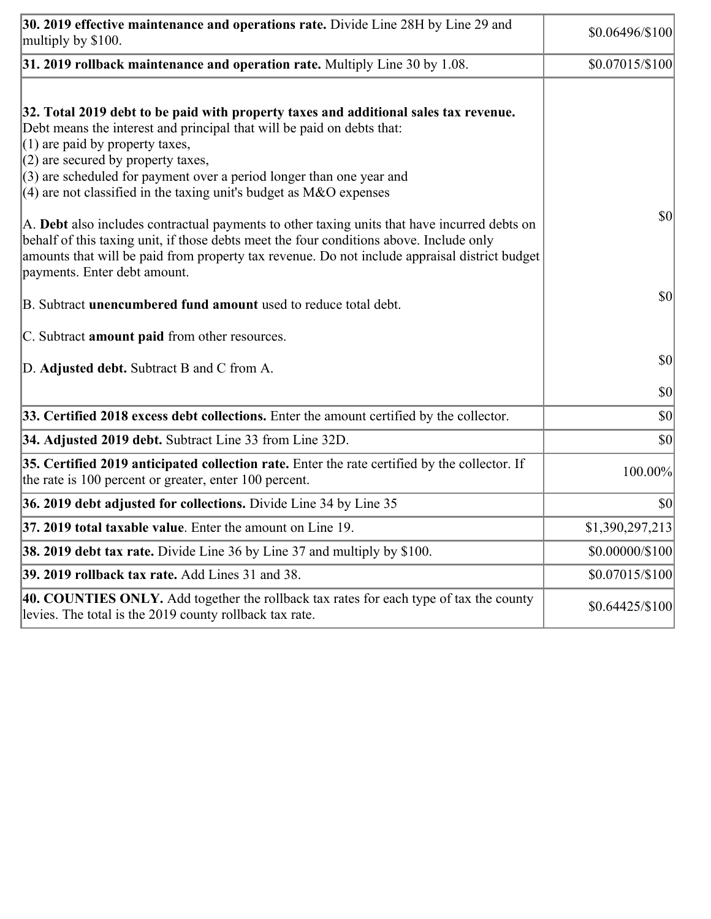| 30. 2019 effective maintenance and operations rate. Divide Line 28H by Line 29 and<br>multiply by \$100.                                                                                                                                                                                                                                                                                      | $$0.06496/\$100$ |
|-----------------------------------------------------------------------------------------------------------------------------------------------------------------------------------------------------------------------------------------------------------------------------------------------------------------------------------------------------------------------------------------------|------------------|
| $31.2019$ rollback maintenance and operation rate. Multiply Line 30 by 1.08.                                                                                                                                                                                                                                                                                                                  | $$0.07015/\$100$ |
| 32. Total 2019 debt to be paid with property taxes and additional sales tax revenue.<br>Debt means the interest and principal that will be paid on debts that:<br>$(1)$ are paid by property taxes,<br>$(2)$ are secured by property taxes,<br>$(3)$ are scheduled for payment over a period longer than one year and<br>(4) are not classified in the taxing unit's budget as $M&O$ expenses |                  |
| A. Debt also includes contractual payments to other taxing units that have incurred debts on<br>behalf of this taxing unit, if those debts meet the four conditions above. Include only<br>amounts that will be paid from property tax revenue. Do not include appraisal district budget<br>payments. Enter debt amount.                                                                      | $ 10\rangle$     |
| B. Subtract unencumbered fund amount used to reduce total debt.                                                                                                                                                                                                                                                                                                                               | $ 10\rangle$     |
| C. Subtract <b>amount paid</b> from other resources.                                                                                                                                                                                                                                                                                                                                          |                  |
| D. Adjusted debt. Subtract B and C from A.                                                                                                                                                                                                                                                                                                                                                    | $ 10\rangle$     |
|                                                                                                                                                                                                                                                                                                                                                                                               | $ 10\rangle$     |
| 33. Certified 2018 excess debt collections. Enter the amount certified by the collector.                                                                                                                                                                                                                                                                                                      | $ 10\rangle$     |
| 34. Adjusted 2019 debt. Subtract Line 33 from Line 32D.                                                                                                                                                                                                                                                                                                                                       | \$0              |
| 35. Certified 2019 anticipated collection rate. Enter the rate certified by the collector. If<br>the rate is 100 percent or greater, enter 100 percent.                                                                                                                                                                                                                                       | 100.00%          |
| 36. 2019 debt adjusted for collections. Divide Line 34 by Line 35                                                                                                                                                                                                                                                                                                                             | $ 10\rangle$     |
| <b>37. 2019 total taxable value.</b> Enter the amount on Line 19.                                                                                                                                                                                                                                                                                                                             | \$1,390,297,213  |
| <b>38. 2019 debt tax rate.</b> Divide Line 36 by Line 37 and multiply by \$100.                                                                                                                                                                                                                                                                                                               | \$0.00000/\$100  |
| 39. 2019 rollback tax rate. Add Lines 31 and 38.                                                                                                                                                                                                                                                                                                                                              | \$0.07015/\$100  |
| 40. COUNTIES ONLY. Add together the rollback tax rates for each type of tax the county<br>levies. The total is the 2019 county rollback tax rate.                                                                                                                                                                                                                                             | $$0.64425/\$100$ |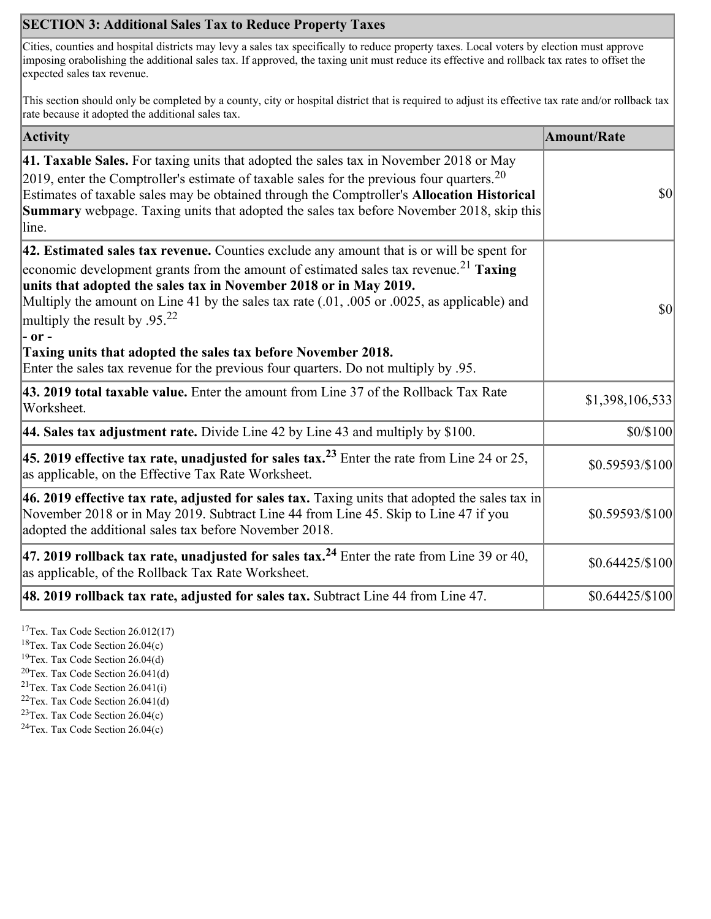## **SECTION 3: Additional Sales Tax to Reduce Property Taxes**

Cities, counties and hospital districts may levy a sales tax specifically to reduce property taxes. Local voters by election must approve imposing orabolishing the additional sales tax. If approved, the taxing unit must reduce its effective and rollback tax rates to offset the expected sales tax revenue.

This section should only be completed by a county, city or hospital district that is required to adjust its effective tax rate and/or rollback tax rate because it adopted the additional sales tax.

| <b>Activity</b>                                                                                                                                                                                                                                                                                                                                                                                                                                                                                                                                                                    | <b>Amount/Rate</b> |
|------------------------------------------------------------------------------------------------------------------------------------------------------------------------------------------------------------------------------------------------------------------------------------------------------------------------------------------------------------------------------------------------------------------------------------------------------------------------------------------------------------------------------------------------------------------------------------|--------------------|
| 41. Taxable Sales. For taxing units that adopted the sales tax in November 2018 or May<br>[2019, enter the Comptroller's estimate of taxable sales for the previous four quarters. <sup>20</sup><br>Estimates of taxable sales may be obtained through the Comptroller's Allocation Historical<br><b>Summary</b> webpage. Taxing units that adopted the sales tax before November 2018, skip this<br>line.                                                                                                                                                                         | $ 10\rangle$       |
| 42. Estimated sales tax revenue. Counties exclude any amount that is or will be spent for<br>economic development grants from the amount of estimated sales tax revenue. <sup>21</sup> Taxing<br>units that adopted the sales tax in November 2018 or in May 2019.<br>Multiply the amount on Line 41 by the sales tax rate (.01, .005 or .0025, as applicable) and<br>multiply the result by .95. <sup>22</sup><br> - or -<br>Taxing units that adopted the sales tax before November 2018.<br>Enter the sales tax revenue for the previous four quarters. Do not multiply by .95. | $ 10\rangle$       |
| 43. 2019 total taxable value. Enter the amount from Line 37 of the Rollback Tax Rate<br>Worksheet.                                                                                                                                                                                                                                                                                                                                                                                                                                                                                 | \$1,398,106,533    |
| 44. Sales tax adjustment rate. Divide Line 42 by Line 43 and multiply by $$100$ .                                                                                                                                                                                                                                                                                                                                                                                                                                                                                                  | \$0/\$100          |
| 45. 2019 effective tax rate, unadjusted for sales tax. <sup>23</sup> Enter the rate from Line 24 or 25,<br>as applicable, on the Effective Tax Rate Worksheet.                                                                                                                                                                                                                                                                                                                                                                                                                     | \$0.59593/\$100    |
| 46. 2019 effective tax rate, adjusted for sales tax. Taxing units that adopted the sales tax in<br>November 2018 or in May 2019. Subtract Line 44 from Line 45. Skip to Line 47 if you<br>adopted the additional sales tax before November 2018.                                                                                                                                                                                                                                                                                                                                   | \$0.59593/\$100    |
| 47. 2019 rollback tax rate, unadjusted for sales tax. <sup>24</sup> Enter the rate from Line 39 or 40,<br>as applicable, of the Rollback Tax Rate Worksheet.                                                                                                                                                                                                                                                                                                                                                                                                                       | $$0.64425/\$100$   |
| [48. 2019 rollback tax rate, adjusted for sales tax. Subtract Line 44 from Line 47.                                                                                                                                                                                                                                                                                                                                                                                                                                                                                                | $$0.64425/\$100$   |

<sup>17</sup>Tex. Tax Code Section 26.012(17)

<sup>18</sup>Tex. Tax Code Section 26.04(c)

<sup>19</sup>Tex. Tax Code Section 26.04(d)

 $20$ Tex. Tax Code Section 26.041(d)

<sup>21</sup>Tex. Tax Code Section  $26.041(i)$ 

 $22$ Tex. Tax Code Section 26.041(d)

 $23$ Tex. Tax Code Section 26.04(c)  $24$ Tex. Tax Code Section 26.04(c)